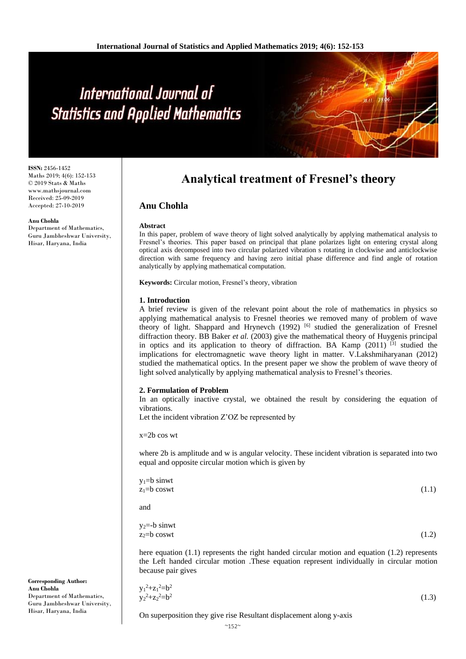# International Journal of **Statistics and Applied Mathematics**

**ISSN:** 2456-1452 Maths 2019; 4(6): 152-153 © 2019 Stats & Maths www.mathsjournal.com Received: 25-09-2019 Accepted: 27-10-2019

#### **Anu Chohla**

Department of Mathematics, Guru Jambheshwar University, Hisar, Haryana, India

**Corresponding Author:**

Department of Mathematics, Guru Jambheshwar University, Hisar, Haryana, India

**Anu Chohla**

# **Analytical treatment of Fresnel's theory**

# **Anu Chohla**

#### **Abstract**

In this paper, problem of wave theory of light solved analytically by applying mathematical analysis to Fresnel's theories. This paper based on principal that plane polarizes light on entering crystal along optical axis decomposed into two circular polarized vibration s rotating in clockwise and anticlockwise direction with same frequency and having zero initial phase difference and find angle of rotation analytically by applying mathematical computation.

**Keywords:** Circular motion, Fresnel's theory, vibration

#### **1. Introduction**

A brief review is given of the relevant point about the role of mathematics in physics so applying mathematical analysis to Fresnel theories we removed many of problem of wave theory of light. Shappard and Hrynevch  $(1992)$  [6] studied the generalization of Fresnel diffraction theory. BB Baker *et al.* (2003) give the mathematical theory of Huygenis principal in optics and its application to theory of diffraction. BA Kamp  $(2011)$ <sup>[3]</sup> studied the implications for electromagnetic wave theory light in matter. V.Lakshmiharyanan (2012) studied the mathematical optics. In the present paper we show the problem of wave theory of light solved analytically by applying mathematical analysis to Fresnel's theories.

#### **2. Formulation of Problem**

In an optically inactive crystal, we obtained the result by considering the equation of vibrations.

Let the incident vibration Z'OZ be represented by

 $x=2b \cos wt$ 

where 2b is amplitude and w is angular velocity. These incident vibration is separated into two equal and opposite circular motion which is given by

| $y_1 = b$ sinwt   |       |
|-------------------|-------|
| $z_1 = b \cos wt$ | (1.1) |
|                   |       |

and

$$
y_2 = b \sin wt z_2 = b \cos wt
$$
 (1.2)

here equation (1.1) represents the right handed circular motion and equation (1.2) represents the Left handed circular motion .These equation represent individually in circular motion because pair gives

$$
y_1^2 + z_1^2 = b^2
$$
  
\n
$$
y_2^2 + z_2^2 = b^2
$$
\n(1.3)

On superposition they give rise Resultant displacement along y-axis